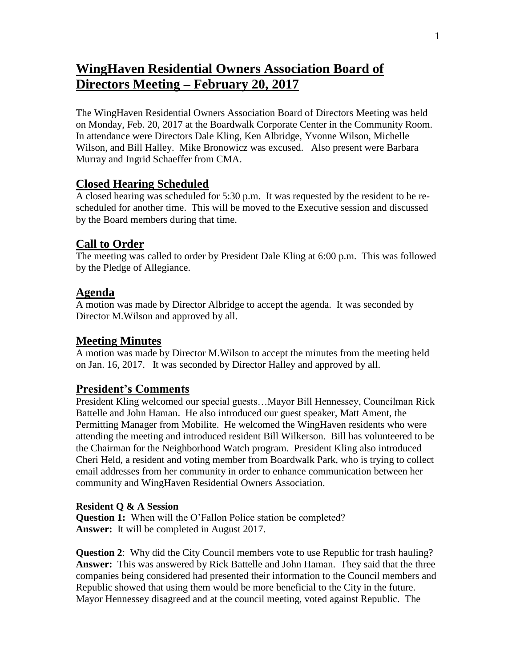# **WingHaven Residential Owners Association Board of Directors Meeting – February 20, 2017**

The WingHaven Residential Owners Association Board of Directors Meeting was held on Monday, Feb. 20, 2017 at the Boardwalk Corporate Center in the Community Room. In attendance were Directors Dale Kling, Ken Albridge, Yvonne Wilson, Michelle Wilson, and Bill Halley. Mike Bronowicz was excused. Also present were Barbara Murray and Ingrid Schaeffer from CMA.

# **Closed Hearing Scheduled**

A closed hearing was scheduled for 5:30 p.m. It was requested by the resident to be rescheduled for another time. This will be moved to the Executive session and discussed by the Board members during that time.

# **Call to Order**

The meeting was called to order by President Dale Kling at 6:00 p.m. This was followed by the Pledge of Allegiance.

## **Agenda**

A motion was made by Director Albridge to accept the agenda. It was seconded by Director M.Wilson and approved by all.

## **Meeting Minutes**

A motion was made by Director M.Wilson to accept the minutes from the meeting held on Jan. 16, 2017. It was seconded by Director Halley and approved by all.

## **President's Comments**

President Kling welcomed our special guests…Mayor Bill Hennessey, Councilman Rick Battelle and John Haman. He also introduced our guest speaker, Matt Ament, the Permitting Manager from Mobilite. He welcomed the WingHaven residents who were attending the meeting and introduced resident Bill Wilkerson. Bill has volunteered to be the Chairman for the Neighborhood Watch program. President Kling also introduced Cheri Held, a resident and voting member from Boardwalk Park, who is trying to collect email addresses from her community in order to enhance communication between her community and WingHaven Residential Owners Association.

#### **Resident Q & A Session**

**Question 1:** When will the O'Fallon Police station be completed? **Answer:** It will be completed in August 2017.

**Question 2:** Why did the City Council members vote to use Republic for trash hauling? **Answer:** This was answered by Rick Battelle and John Haman. They said that the three companies being considered had presented their information to the Council members and Republic showed that using them would be more beneficial to the City in the future. Mayor Hennessey disagreed and at the council meeting, voted against Republic. The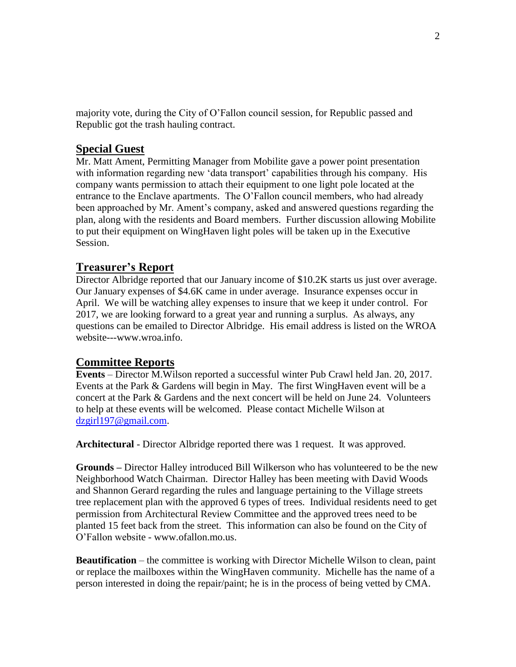majority vote, during the City of O'Fallon council session, for Republic passed and Republic got the trash hauling contract.

# **Special Guest**

Mr. Matt Ament, Permitting Manager from Mobilite gave a power point presentation with information regarding new 'data transport' capabilities through his company. His company wants permission to attach their equipment to one light pole located at the entrance to the Enclave apartments. The O'Fallon council members, who had already been approached by Mr. Ament's company, asked and answered questions regarding the plan, along with the residents and Board members. Further discussion allowing Mobilite to put their equipment on WingHaven light poles will be taken up in the Executive Session.

# **Treasurer's Report**

Director Albridge reported that our January income of \$10.2K starts us just over average. Our January expenses of \$4.6K came in under average. Insurance expenses occur in April. We will be watching alley expenses to insure that we keep it under control. For 2017, we are looking forward to a great year and running a surplus. As always, any questions can be emailed to Director Albridge. His email address is listed on the WROA website---www.wroa.info.

## **Committee Reports**

**Events** – Director M.Wilson reported a successful winter Pub Crawl held Jan. 20, 2017. Events at the Park & Gardens will begin in May. The first WingHaven event will be a concert at the Park & Gardens and the next concert will be held on June 24. Volunteers to help at these events will be welcomed. Please contact Michelle Wilson at [dzgirl197@gmail.com.](mailto:dzgirl197@gmail.com)

**Architectural** - Director Albridge reported there was 1 request. It was approved.

**Grounds –** Director Halley introduced Bill Wilkerson who has volunteered to be the new Neighborhood Watch Chairman. Director Halley has been meeting with David Woods and Shannon Gerard regarding the rules and language pertaining to the Village streets tree replacement plan with the approved 6 types of trees. Individual residents need to get permission from Architectural Review Committee and the approved trees need to be planted 15 feet back from the street. This information can also be found on the City of O'Fallon website - www.ofallon.mo.us.

**Beautification** – the committee is working with Director Michelle Wilson to clean, paint or replace the mailboxes within the WingHaven community. Michelle has the name of a person interested in doing the repair/paint; he is in the process of being vetted by CMA.